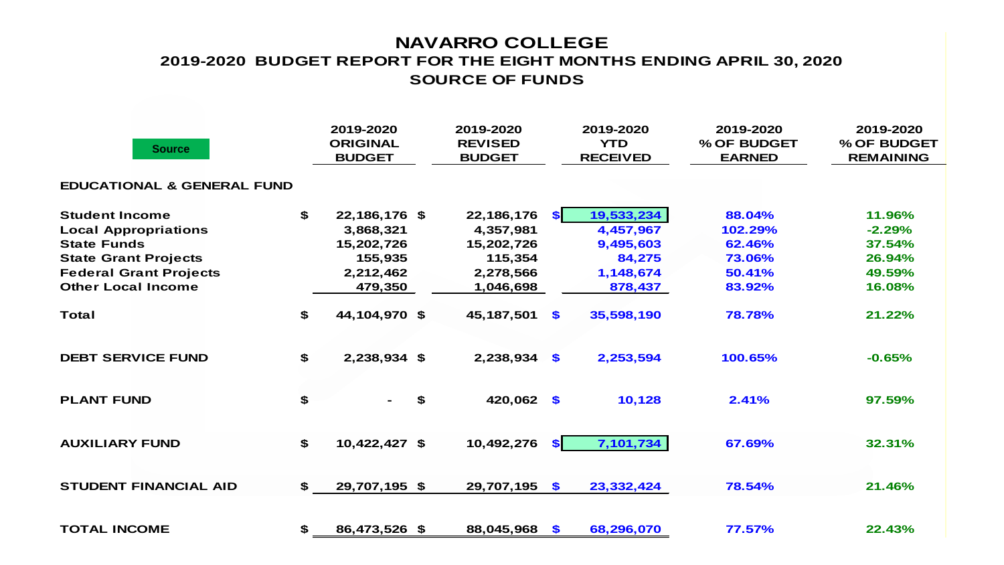## **NAVARRO COLLEGE SOURCE OF FUNDS 2019-2020 BUDGET REPORT FOR THE EIGHT MONTHS ENDING APRIL 30, 2020**

| <b>Source</b>                         |     | 2019-2020<br><b>ORIGINAL</b><br><b>BUDGET</b> | 2019-2020<br><b>REVISED</b><br><b>BUDGET</b> | 2019-2020<br><b>YTD</b><br><b>RECEIVED</b> | 2019-2020<br>% OF BUDGET<br><b>EARNED</b> | 2019-2020<br>% OF BUDGET<br><b>REMAINING</b> |  |  |  |  |  |  |
|---------------------------------------|-----|-----------------------------------------------|----------------------------------------------|--------------------------------------------|-------------------------------------------|----------------------------------------------|--|--|--|--|--|--|
| <b>EDUCATIONAL &amp; GENERAL FUND</b> |     |                                               |                                              |                                            |                                           |                                              |  |  |  |  |  |  |
| <b>Student Income</b>                 | \$  | 22,186,176 \$                                 | 22,186,176                                   | 19,533,234<br>SI.                          | 88.04%                                    | 11.96%                                       |  |  |  |  |  |  |
| <b>Local Appropriations</b>           |     | 3,868,321                                     | 4,357,981                                    | 4,457,967                                  | 102.29%                                   | $-2.29%$                                     |  |  |  |  |  |  |
| <b>State Funds</b>                    |     | 15,202,726                                    | 15,202,726                                   | 9,495,603                                  | 62.46%                                    | 37.54%                                       |  |  |  |  |  |  |
| <b>State Grant Projects</b>           |     | 155,935                                       | 115,354                                      | 84,275                                     | 73.06%                                    | 26.94%                                       |  |  |  |  |  |  |
| <b>Federal Grant Projects</b>         |     | 2,212,462                                     | 2,278,566                                    | 1,148,674                                  | 50.41%                                    | 49.59%                                       |  |  |  |  |  |  |
| <b>Other Local Income</b>             |     | 479,350                                       | 1,046,698                                    | 878,437                                    | 83.92%                                    | 16.08%                                       |  |  |  |  |  |  |
| <b>Total</b>                          | \$  | 44,104,970 \$                                 | 45,187,501                                   | $\mathbf{s}$<br>35,598,190                 | 78.78%                                    | 21.22%                                       |  |  |  |  |  |  |
| <b>DEBT SERVICE FUND</b>              | \$  | 2,238,934 \$                                  | 2,238,934                                    | $\mathbf{\$}$<br>2,253,594                 | 100.65%                                   | $-0.65%$                                     |  |  |  |  |  |  |
| <b>PLANT FUND</b>                     | \$  | \$                                            | 420,062                                      | 10,128<br>$\bullet$                        | 2.41%                                     | 97.59%                                       |  |  |  |  |  |  |
| <b>AUXILIARY FUND</b>                 | \$  | 10,422,427 \$                                 | 10,492,276                                   | 7,101,734<br>SI.                           | 67.69%                                    | 32.31%                                       |  |  |  |  |  |  |
| <b>STUDENT FINANCIAL AID</b>          | \$. | 29,707,195 \$                                 | 29,707,195                                   | $\mathbf{S}$<br>23,332,424                 | 78.54%                                    | 21.46%                                       |  |  |  |  |  |  |
| <b>TOTAL INCOME</b>                   | \$  | 86,473,526 \$                                 | 88,045,968                                   | $\mathbf{\$}$<br>68,296,070                | 77.57%                                    | 22.43%                                       |  |  |  |  |  |  |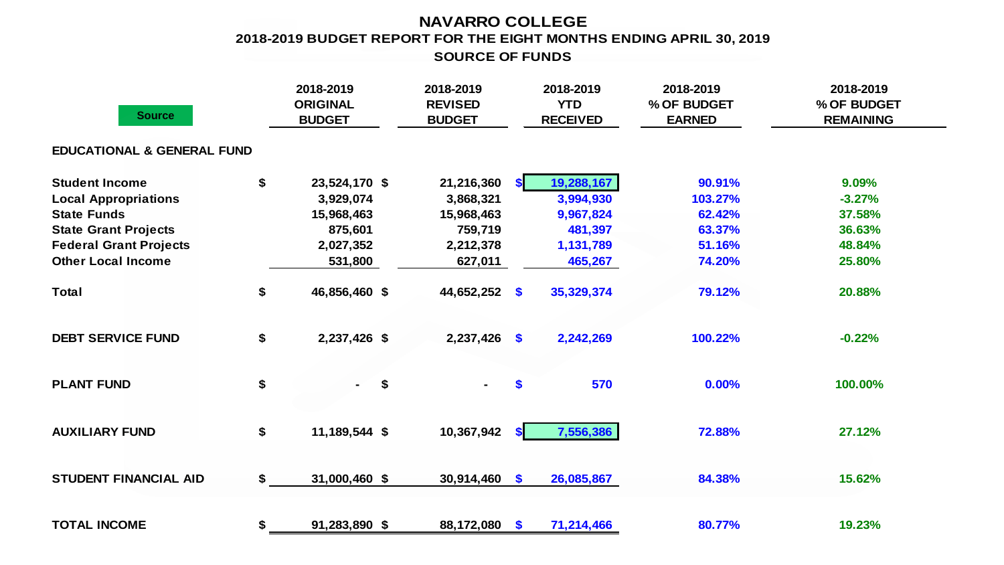## **NAVARRO COLLEGE 2018-2019 BUDGET REPORT FOR THE EIGHT MONTHS ENDING APRIL 30, 2019 SOURCE OF FUNDS**

| <b>Source</b>                         | 2018-2019<br><b>ORIGINAL</b><br><b>BUDGET</b> | 2018-2019<br><b>REVISED</b><br><b>BUDGET</b> |                   | 2018-2019<br><b>YTD</b><br><b>RECEIVED</b> | 2018-2019<br>% OF BUDGET<br><b>EARNED</b> | 2018-2019<br>% OF BUDGET<br><b>REMAINING</b> |
|---------------------------------------|-----------------------------------------------|----------------------------------------------|-------------------|--------------------------------------------|-------------------------------------------|----------------------------------------------|
| <b>EDUCATIONAL &amp; GENERAL FUND</b> |                                               |                                              |                   |                                            |                                           |                                              |
| <b>Student Income</b>                 | \$<br>23,524,170 \$                           | 21,216,360                                   | <b>SI</b>         | 19,288,167                                 | 90.91%                                    | 9.09%                                        |
| <b>Local Appropriations</b>           | 3,929,074                                     | 3,868,321                                    |                   | 3,994,930                                  | 103.27%                                   | $-3.27%$                                     |
| <b>State Funds</b>                    | 15,968,463                                    | 15,968,463                                   |                   | 9,967,824                                  | 62.42%                                    | 37.58%                                       |
| <b>State Grant Projects</b>           | 875,601                                       | 759,719                                      |                   | 481,397                                    | 63.37%                                    | 36.63%                                       |
| <b>Federal Grant Projects</b>         | 2,027,352                                     | 2,212,378                                    |                   | 1,131,789                                  | 51.16%                                    | 48.84%                                       |
| <b>Other Local Income</b>             | 531,800                                       | 627,011                                      |                   | 465,267                                    | 74.20%                                    | 25.80%                                       |
| <b>Total</b>                          | \$<br>46,856,460 \$                           | 44,652,252 \$                                |                   | 35,329,374                                 | 79.12%                                    | 20.88%                                       |
| <b>DEBT SERVICE FUND</b>              | \$<br>2,237,426 \$                            | $2,237,426$ \$                               |                   | 2,242,269                                  | 100.22%                                   | $-0.22%$                                     |
| <b>PLANT FUND</b>                     | \$<br>\$<br>$\sim$                            |                                              | $\boldsymbol{\$}$ | 570                                        | 0.00%                                     | 100.00%                                      |
| <b>AUXILIARY FUND</b>                 | \$<br>11,189,544 \$                           | 10,367,942                                   | <b>SI</b>         | 7,556,386                                  | 72.88%                                    | 27.12%                                       |
| <b>STUDENT FINANCIAL AID</b>          | \$<br>31,000,460 \$                           | $30,914,460$ \$                              |                   | 26,085,867                                 | 84.38%                                    | 15.62%                                       |
| <b>TOTAL INCOME</b>                   | \$<br>91,283,890 \$                           | 88,172,080                                   | $\sqrt{2}$        | 71,214,466                                 | 80.77%                                    | 19.23%                                       |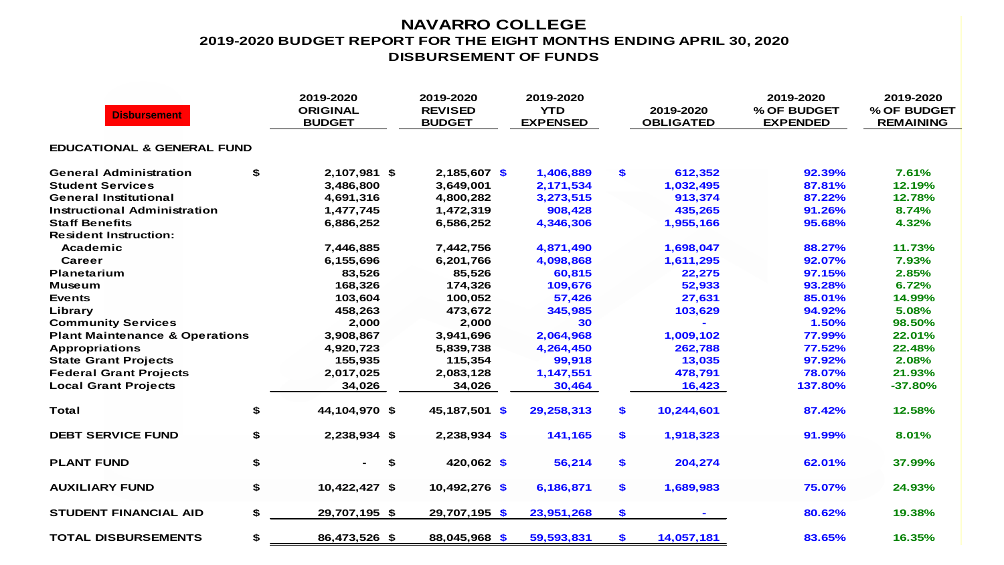## **NAVARRO COLLEGE 2019-2020 BUDGET REPORT FOR THE EIGHT MONTHS ENDING APRIL 30, 2020 DISBURSEMENT OF FUNDS**

| <b>Disbursement</b>                       |    | 2019-2020<br><b>ORIGINAL</b><br><b>BUDGET</b> | 2019-2020<br><b>REVISED</b><br><b>BUDGET</b> | 2019-2020<br><b>YTD</b><br><b>EXPENSED</b> |              | 2019-2020<br><b>OBLIGATED</b> | 2019-2020<br>% OF BUDGET<br><b>EXPENDED</b> | 2019-2020<br>% OF BUDGET<br><b>REMAINING</b> |
|-------------------------------------------|----|-----------------------------------------------|----------------------------------------------|--------------------------------------------|--------------|-------------------------------|---------------------------------------------|----------------------------------------------|
| <b>EDUCATIONAL &amp; GENERAL FUND</b>     |    |                                               |                                              |                                            |              |                               |                                             |                                              |
| <b>General Administration</b>             | \$ | 2,107,981 \$                                  | $2,185,607$ \$                               | 1,406,889                                  | \$           | 612,352                       | 92.39%                                      | 7.61%                                        |
| <b>Student Services</b>                   |    | 3,486,800                                     | 3,649,001                                    | 2,171,534                                  |              | 1,032,495                     | 87.81%                                      | 12.19%                                       |
| <b>General Institutional</b>              |    | 4,691,316                                     | 4,800,282                                    | 3,273,515                                  |              | 913,374                       | 87.22%                                      | 12.78%                                       |
| Instructional Administration              |    | 1,477,745                                     | 1,472,319                                    | 908,428                                    |              | 435,265                       | 91.26%                                      | 8.74%                                        |
| <b>Staff Benefits</b>                     |    | 6,886,252                                     | 6,586,252                                    | 4,346,306                                  |              | 1,955,166                     | 95.68%                                      | 4.32%                                        |
| <b>Resident Instruction:</b>              |    |                                               |                                              |                                            |              |                               |                                             |                                              |
| Academic                                  |    | 7,446,885                                     | 7,442,756                                    | 4,871,490                                  |              | 1,698,047                     | 88.27%                                      | 11.73%                                       |
| Career                                    |    | 6,155,696                                     | 6,201,766                                    | 4,098,868                                  |              | 1,611,295                     | 92.07%                                      | 7.93%                                        |
| <b>Planetarium</b>                        |    | 83,526                                        | 85,526                                       | 60,815                                     |              | 22,275                        | 97.15%                                      | 2.85%                                        |
| <b>Museum</b>                             |    | 168,326                                       | 174,326                                      | 109,676                                    |              | 52,933                        | 93.28%                                      | 6.72%                                        |
| <b>Events</b>                             |    | 103,604                                       | 100,052                                      | 57,426                                     |              | 27,631                        | 85.01%                                      | 14.99%                                       |
| Library                                   |    | 458,263                                       | 473,672                                      | 345,985                                    |              | 103,629                       | 94.92%                                      | 5.08%                                        |
| <b>Community Services</b>                 |    | 2,000                                         | 2,000                                        | 30                                         |              |                               | 1.50%                                       | 98.50%                                       |
| <b>Plant Maintenance &amp; Operations</b> |    | 3,908,867                                     | 3,941,696                                    | 2,064,968                                  |              | 1,009,102                     | 77.99%                                      | 22.01%                                       |
| <b>Appropriations</b>                     |    | 4,920,723                                     | 5,839,738                                    | 4,264,450                                  |              | 262,788                       | 77.52%                                      | 22.48%                                       |
| <b>State Grant Projects</b>               |    | 155,935                                       | 115,354                                      | 99,918                                     |              | 13,035                        | 97.92%                                      | 2.08%                                        |
| <b>Federal Grant Projects</b>             |    | 2,017,025                                     | 2,083,128                                    | 1,147,551                                  |              | 478,791                       | 78.07%                                      | 21.93%                                       |
| <b>Local Grant Projects</b>               |    | 34,026                                        | 34,026                                       | 30,464                                     |              | 16,423                        | 137.80%                                     | $-37.80%$                                    |
| Total                                     | \$ | 44,104,970 \$                                 | 45,187,501 \$                                | 29,258,313                                 | $\mathbf{s}$ | 10,244,601                    | 87.42%                                      | 12.58%                                       |
| <b>DEBT SERVICE FUND</b>                  | \$ | 2,238,934 \$                                  | $2,238,934$ \$                               | 141,165                                    | $\mathbf{s}$ | 1,918,323                     | 91.99%                                      | 8.01%                                        |
| <b>PLANT FUND</b>                         | \$ | \$                                            | $420,062$ \$                                 | 56,214                                     | \$           | 204,274                       | 62.01%                                      | 37.99%                                       |
| <b>AUXILIARY FUND</b>                     | \$ | 10,422,427 \$                                 | 10,492,276 \$                                | 6,186,871                                  | \$           | 1,689,983                     | 75.07%                                      | 24.93%                                       |
| <b>STUDENT FINANCIAL AID</b>              | \$ | 29,707,195 \$                                 | 29,707,195 \$                                | 23,951,268                                 | \$           |                               | 80.62%                                      | 19.38%                                       |
| <b>TOTAL DISBURSEMENTS</b>                | \$ | 86,473,526 \$                                 | 88,045,968 \$                                | 59,593,831                                 | \$           | 14,057,181                    | 83.65%                                      | 16.35%                                       |